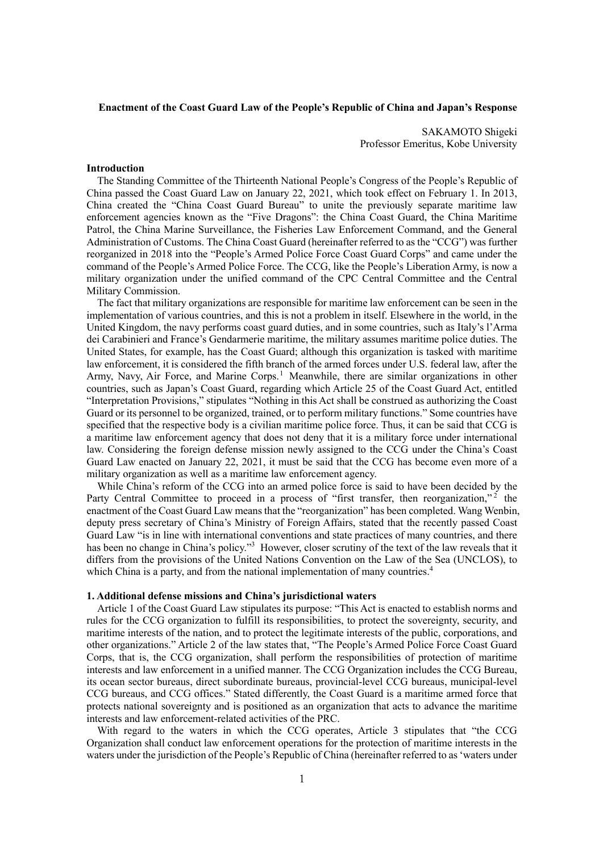## **Enactment of the Coast Guard Law of the People's Republic of China and Japan's Response**

SAKAMOTO Shigeki Professor Emeritus, Kobe University

#### **Introduction**

The Standing Committee of the Thirteenth National People's Congress of the People's Republic of China passed the Coast Guard Law on January 22, 2021, which took effect on February 1. In 2013, China created the "China Coast Guard Bureau" to unite the previously separate maritime law enforcement agencies known as the "Five Dragons": the China Coast Guard, the China Maritime Patrol, the China Marine Surveillance, the Fisheries Law Enforcement Command, and the General Administration of Customs. The China Coast Guard (hereinafter referred to as the "CCG") was further reorganized in 2018 into the "People's Armed Police Force Coast Guard Corps" and came under the command of the People's Armed Police Force. The CCG, like the People's Liberation Army, is now a military organization under the unified command of the CPC Central Committee and the Central Military Commission.

The fact that military organizations are responsible for maritime law enforcement can be seen in the implementation of various countries, and this is not a problem in itself. Elsewhere in the world, in the United Kingdom, the navy performs coast guard duties, and in some countries, such as Italy's l'Arma dei Carabinieri and France's Gendarmerie maritime, the military assumes maritime police duties. The United States, for example, has the Coast Guard; although this organization is tasked with maritime law enforcement, it is considered the fifth branch of the armed forces under U.S. federal law, after the Army, Navy, Air Force, and Marine Corps.<sup>1</sup> Meanwhile, there are similar organizations in other countries, such as Japan's Coast Guard, regarding which Article 25 of the Coast Guard Act, entitled "Interpretation Provisions," stipulates "Nothing in this Act shall be construed as authorizing the Coast Guard or its personnel to be organized, trained, or to perform military functions." Some countries have specified that the respective body is a civilian maritime police force. Thus, it can be said that CCG is a maritime law enforcement agency that does not deny that it is a military force under international law. Considering the foreign defense mission newly assigned to the CCG under the China's Coast Guard Law enacted on January 22, 2021, it must be said that the CCG has become even more of a military organization as well as a maritime law enforcement agency.

While China's reform of the CCG into an armed police force is said to have been decided by the Party Central Committee to proceed in a process of "first transfer, then reorganization,"<sup>2</sup> the enactment of the Coast Guard Law means that the "reorganization" has been completed. Wang Wenbin, deputy press secretary of China's Ministry of Foreign Affairs, stated that the recently passed Coast Guard Law "is in line with international conventions and state practices of many countries, and there has been no change in China's policy."<sup>3</sup> However, closer scrutiny of the text of the law reveals that it differs from the provisions of the United Nations Convention on the Law of the Sea (UNCLOS), to which China is a party, and from the national implementation of many countries.<sup>4</sup>

### **1. Additional defense missions and China's jurisdictional waters**

Article 1 of the Coast Guard Law stipulates its purpose: "This Act is enacted to establish norms and rules for the CCG organization to fulfill its responsibilities, to protect the sovereignty, security, and maritime interests of the nation, and to protect the legitimate interests of the public, corporations, and other organizations." Article 2 of the law states that, "The People's Armed Police Force Coast Guard Corps, that is, the CCG organization, shall perform the responsibilities of protection of maritime interests and law enforcement in a unified manner. The CCG Organization includes the CCG Bureau, its ocean sector bureaus, direct subordinate bureaus, provincial-level CCG bureaus, municipal-level CCG bureaus, and CCG offices." Stated differently, the Coast Guard is a maritime armed force that protects national sovereignty and is positioned as an organization that acts to advance the maritime interests and law enforcement-related activities of the PRC.

With regard to the waters in which the CCG operates, Article 3 stipulates that "the CCG Organization shall conduct law enforcement operations for the protection of maritime interests in the waters under the jurisdiction of the People's Republic of China (hereinafter referred to as 'waters under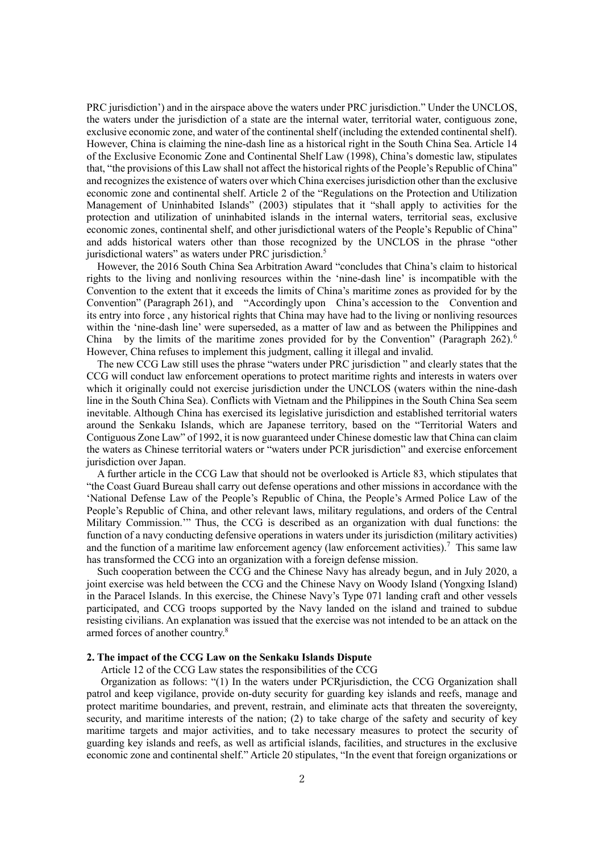PRC jurisdiction') and in the airspace above the waters under PRC jurisdiction." Under the UNCLOS, the waters under the jurisdiction of a state are the internal water, territorial water, contiguous zone, exclusive economic zone, and water of the continental shelf (including the extended continental shelf). However, China is claiming the nine-dash line as a historical right in the South China Sea. Article 14 of the Exclusive Economic Zone and Continental Shelf Law (1998), China's domestic law, stipulates that, "the provisions of this Law shall not affect the historical rights of the People's Republic of China" and recognizes the existence of waters over which China exercises jurisdiction other than the exclusive economic zone and continental shelf. Article 2 of the "Regulations on the Protection and Utilization Management of Uninhabited Islands" (2003) stipulates that it "shall apply to activities for the protection and utilization of uninhabited islands in the internal waters, territorial seas, exclusive economic zones, continental shelf, and other jurisdictional waters of the People's Republic of China" and adds historical waters other than those recognized by the UNCLOS in the phrase "other jurisdictional waters" as waters under PRC jurisdiction.<sup>5</sup>

However, the 2016 South China Sea Arbitration Award "concludes that China's claim to historical rights to the living and nonliving resources within the 'nine-dash line' is incompatible with the Convention to the extent that it exceeds the limits of China's maritime zones as provided for by the Convention" (Paragraph 261), and "Accordingly upon China's accession to the Convention and its entry into force , any historical rights that China may have had to the living or nonliving resources within the 'nine-dash line' were superseded, as a matter of law and as between the Philippines and China by the limits of the maritime zones provided for by the Convention" (Paragraph 262).<sup>6</sup> However, China refuses to implement this judgment, calling it illegal and invalid.

The new CCG Law still uses the phrase "waters under PRC jurisdiction " and clearly states that the CCG will conduct law enforcement operations to protect maritime rights and interests in waters over which it originally could not exercise jurisdiction under the UNCLOS (waters within the nine-dash line in the South China Sea). Conflicts with Vietnam and the Philippines in the South China Sea seem inevitable. Although China has exercised its legislative jurisdiction and established territorial waters around the Senkaku Islands, which are Japanese territory, based on the "Territorial Waters and Contiguous Zone Law" of 1992, it is now guaranteed under Chinese domestic law that China can claim the waters as Chinese territorial waters or "waters under PCR jurisdiction" and exercise enforcement jurisdiction over Japan.

A further article in the CCG Law that should not be overlooked is Article 83, which stipulates that "the Coast Guard Bureau shall carry out defense operations and other missions in accordance with the 'National Defense Law of the People's Republic of China, the People's Armed Police Law of the People's Republic of China, and other relevant laws, military regulations, and orders of the Central Military Commission.'" Thus, the CCG is described as an organization with dual functions: the function of a navy conducting defensive operations in waters under its jurisdiction (military activities) and the function of a maritime law enforcement agency (law enforcement activities).<sup>7</sup> This same law has transformed the CCG into an organization with a foreign defense mission.

Such cooperation between the CCG and the Chinese Navy has already begun, and in July 2020, a joint exercise was held between the CCG and the Chinese Navy on Woody Island (Yongxing Island) in the Paracel Islands. In this exercise, the Chinese Navy's Type 071 landing craft and other vessels participated, and CCG troops supported by the Navy landed on the island and trained to subdue resisting civilians. An explanation was issued that the exercise was not intended to be an attack on the armed forces of another country.<sup>8</sup>

# **2. The impact of the CCG Law on the Senkaku Islands Dispute**

Article 12 of the CCG Law states the responsibilities of the CCG

Organization as follows: "(1) In the waters under PCRjurisdiction, the CCG Organization shall patrol and keep vigilance, provide on-duty security for guarding key islands and reefs, manage and protect maritime boundaries, and prevent, restrain, and eliminate acts that threaten the sovereignty, security, and maritime interests of the nation; (2) to take charge of the safety and security of key maritime targets and major activities, and to take necessary measures to protect the security of guarding key islands and reefs, as well as artificial islands, facilities, and structures in the exclusive economic zone and continental shelf." Article 20 stipulates, "In the event that foreign organizations or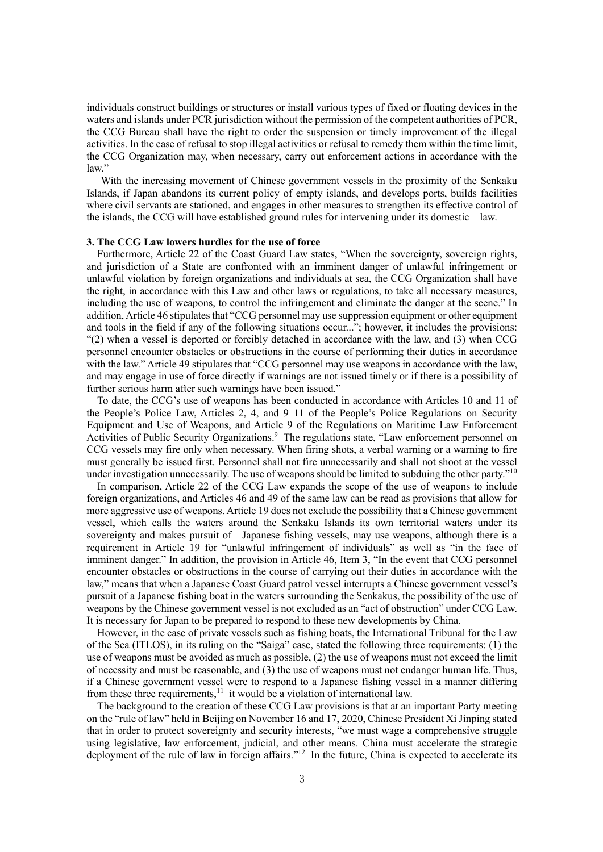individuals construct buildings or structures or install various types of fixed or floating devices in the waters and islands under PCR jurisdiction without the permission of the competent authorities of PCR, the CCG Bureau shall have the right to order the suspension or timely improvement of the illegal activities. In the case of refusal to stop illegal activities or refusal to remedy them within the time limit, the CCG Organization may, when necessary, carry out enforcement actions in accordance with the law"

With the increasing movement of Chinese government vessels in the proximity of the Senkaku Islands, if Japan abandons its current policy of empty islands, and develops ports, builds facilities where civil servants are stationed, and engages in other measures to strengthen its effective control of the islands, the CCG will have established ground rules for intervening under its domestic law.

### **3. The CCG Law lowers hurdles for the use of force**

Furthermore, Article 22 of the Coast Guard Law states, "When the sovereignty, sovereign rights, and jurisdiction of a State are confronted with an imminent danger of unlawful infringement or unlawful violation by foreign organizations and individuals at sea, the CCG Organization shall have the right, in accordance with this Law and other laws or regulations, to take all necessary measures, including the use of weapons, to control the infringement and eliminate the danger at the scene." In addition, Article 46 stipulates that "CCG personnel may use suppression equipment or other equipment and tools in the field if any of the following situations occur..."; however, it includes the provisions:  $(2)$  when a vessel is deported or forcibly detached in accordance with the law, and (3) when CCG personnel encounter obstacles or obstructions in the course of performing their duties in accordance with the law." Article 49 stipulates that "CCG personnel may use weapons in accordance with the law, and may engage in use of force directly if warnings are not issued timely or if there is a possibility of further serious harm after such warnings have been issued."

To date, the CCG's use of weapons has been conducted in accordance with Articles 10 and 11 of the People's Police Law, Articles 2, 4, and 9–11 of the People's Police Regulations on Security Equipment and Use of Weapons, and Article 9 of the Regulations on Maritime Law Enforcement Activities of Public Security Organizations.<sup>9</sup> The regulations state, "Law enforcement personnel on CCG vessels may fire only when necessary. When firing shots, a verbal warning or a warning to fire must generally be issued first. Personnel shall not fire unnecessarily and shall not shoot at the vessel under investigation unnecessarily. The use of weapons should be limited to subduing the other party."<sup>10</sup>

In comparison, Article 22 of the CCG Law expands the scope of the use of weapons to include foreign organizations, and Articles 46 and 49 of the same law can be read as provisions that allow for more aggressive use of weapons. Article 19 does not exclude the possibility that a Chinese government vessel, which calls the waters around the Senkaku Islands its own territorial waters under its sovereignty and makes pursuit of Japanese fishing vessels, may use weapons, although there is a requirement in Article 19 for "unlawful infringement of individuals" as well as "in the face of imminent danger." In addition, the provision in Article 46, Item 3, "In the event that CCG personnel encounter obstacles or obstructions in the course of carrying out their duties in accordance with the law," means that when a Japanese Coast Guard patrol vessel interrupts a Chinese government vessel's pursuit of a Japanese fishing boat in the waters surrounding the Senkakus, the possibility of the use of weapons by the Chinese government vessel is not excluded as an "act of obstruction" under CCG Law. It is necessary for Japan to be prepared to respond to these new developments by China.

However, in the case of private vessels such as fishing boats, the International Tribunal for the Law of the Sea (ITLOS), in its ruling on the "Saiga" case, stated the following three requirements: (1) the use of weapons must be avoided as much as possible, (2) the use of weapons must not exceed the limit of necessity and must be reasonable, and (3) the use of weapons must not endanger human life. Thus, if a Chinese government vessel were to respond to a Japanese fishing vessel in a manner differing from these three requirements,<sup>11</sup> it would be a violation of international law.

The background to the creation of these CCG Law provisions is that at an important Party meeting on the "rule of law" held in Beijing on November 16 and 17, 2020, Chinese President Xi Jinping stated that in order to protect sovereignty and security interests, "we must wage a comprehensive struggle using legislative, law enforcement, judicial, and other means. China must accelerate the strategic deployment of the rule of law in foreign affairs."<sup>12</sup> In the future, China is expected to accelerate its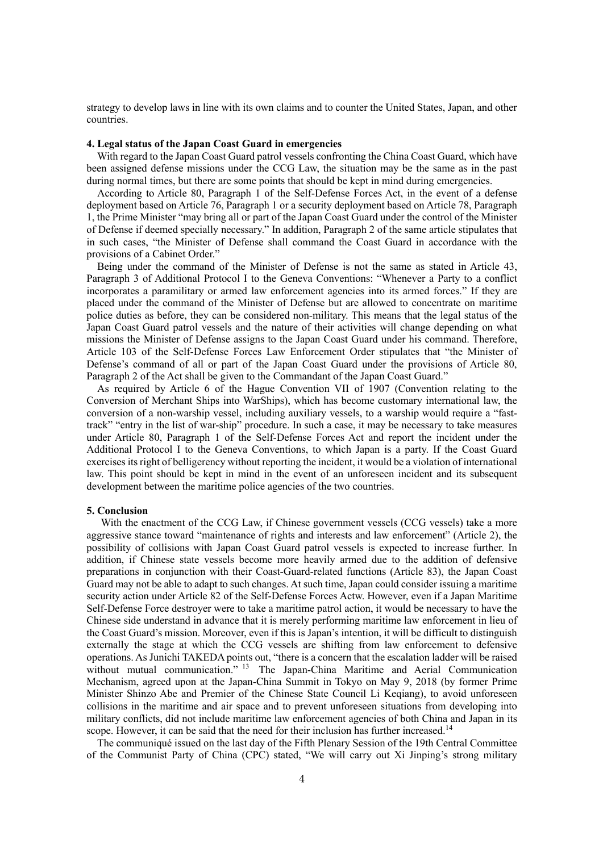strategy to develop laws in line with its own claims and to counter the United States, Japan, and other countries.

# **4. Legal status of the Japan Coast Guard in emergencies**

With regard to the Japan Coast Guard patrol vessels confronting the China Coast Guard, which have been assigned defense missions under the CCG Law, the situation may be the same as in the past during normal times, but there are some points that should be kept in mind during emergencies.

According to Article 80, Paragraph 1 of the Self-Defense Forces Act, in the event of a defense deployment based on Article 76, Paragraph 1 or a security deployment based on Article 78, Paragraph 1, the Prime Minister "may bring all or part of the Japan Coast Guard under the control of the Minister of Defense if deemed specially necessary." In addition, Paragraph 2 of the same article stipulates that in such cases, "the Minister of Defense shall command the Coast Guard in accordance with the provisions of a Cabinet Order."

Being under the command of the Minister of Defense is not the same as stated in Article 43, Paragraph 3 of Additional Protocol I to the Geneva Conventions: "Whenever a Party to a conflict incorporates a paramilitary or armed law enforcement agencies into its armed forces." If they are placed under the command of the Minister of Defense but are allowed to concentrate on maritime police duties as before, they can be considered non-military. This means that the legal status of the Japan Coast Guard patrol vessels and the nature of their activities will change depending on what missions the Minister of Defense assigns to the Japan Coast Guard under his command. Therefore, Article 103 of the Self-Defense Forces Law Enforcement Order stipulates that "the Minister of Defense's command of all or part of the Japan Coast Guard under the provisions of Article 80, Paragraph 2 of the Act shall be given to the Commandant of the Japan Coast Guard."

As required by Article 6 of the Hague Convention VII of 1907 (Convention relating to the Conversion of Merchant Ships into WarShips), which has become customary international law, the conversion of a non-warship vessel, including auxiliary vessels, to a warship would require a "fasttrack" "entry in the list of war-ship" procedure. In such a case, it may be necessary to take measures under Article 80, Paragraph 1 of the Self-Defense Forces Act and report the incident under the Additional Protocol I to the Geneva Conventions, to which Japan is a party. If the Coast Guard exercises its right of belligerency without reporting the incident, it would be a violation of international law. This point should be kept in mind in the event of an unforeseen incident and its subsequent development between the maritime police agencies of the two countries.

#### **5. Conclusion**

With the enactment of the CCG Law, if Chinese government vessels (CCG vessels) take a more aggressive stance toward "maintenance of rights and interests and law enforcement" (Article 2), the possibility of collisions with Japan Coast Guard patrol vessels is expected to increase further. In addition, if Chinese state vessels become more heavily armed due to the addition of defensive preparations in conjunction with their Coast-Guard-related functions (Article 83), the Japan Coast Guard may not be able to adapt to such changes. At such time, Japan could consider issuing a maritime security action under Article 82 of the Self-Defense Forces Actw. However, even if a Japan Maritime Self-Defense Force destroyer were to take a maritime patrol action, it would be necessary to have the Chinese side understand in advance that it is merely performing maritime law enforcement in lieu of the Coast Guard's mission. Moreover, even if this is Japan's intention, it will be difficult to distinguish externally the stage at which the CCG vessels are shifting from law enforcement to defensive operations. As Junichi TAKEDA points out, "there is a concern that the escalation ladder will be raised without mutual communication." <sup>13</sup> The Japan-China Maritime and Aerial Communication Mechanism, agreed upon at the Japan-China Summit in Tokyo on May 9, 2018 (by former Prime Minister Shinzo Abe and Premier of the Chinese State Council Li Keqiang), to avoid unforeseen collisions in the maritime and air space and to prevent unforeseen situations from developing into military conflicts, did not include maritime law enforcement agencies of both China and Japan in its scope. However, it can be said that the need for their inclusion has further increased.<sup>14</sup>

The communiqué issued on the last day of the Fifth Plenary Session of the 19th Central Committee of the Communist Party of China (CPC) stated, "We will carry out Xi Jinping's strong military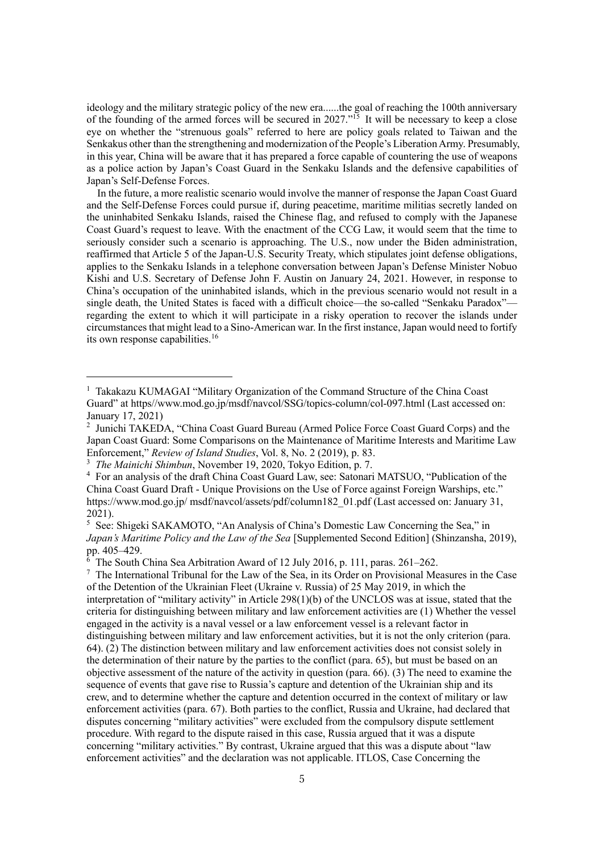ideology and the military strategic policy of the new era......the goal of reaching the 100th anniversary of the founding of the armed forces will be secured in 2027."<sup>15</sup> It will be necessary to keep a close eye on whether the "strenuous goals" referred to here are policy goals related to Taiwan and the Senkakus other than the strengthening and modernization of the People's Liberation Army. Presumably, in this year, China will be aware that it has prepared a force capable of countering the use of weapons as a police action by Japan's Coast Guard in the Senkaku Islands and the defensive capabilities of Japan's Self-Defense Forces.

In the future, a more realistic scenario would involve the manner of response the Japan Coast Guard and the Self-Defense Forces could pursue if, during peacetime, maritime militias secretly landed on the uninhabited Senkaku Islands, raised the Chinese flag, and refused to comply with the Japanese Coast Guard's request to leave. With the enactment of the CCG Law, it would seem that the time to seriously consider such a scenario is approaching. The U.S., now under the Biden administration, reaffirmed that Article 5 of the Japan-U.S. Security Treaty, which stipulates joint defense obligations, applies to the Senkaku Islands in a telephone conversation between Japan's Defense Minister Nobuo Kishi and U.S. Secretary of Defense John F. Austin on January 24, 2021. However, in response to China's occupation of the uninhabited islands, which in the previous scenario would not result in a single death, the United States is faced with a difficult choice—the so-called "Senkaku Paradox" regarding the extent to which it will participate in a risky operation to recover the islands under circumstances that might lead to a Sino-American war. In the first instance, Japan would need to fortify its own response capabilities.<sup>16</sup>

<sup>&</sup>lt;sup>1</sup> Takakazu KUMAGAI "Military Organization of the Command Structure of the China Coast Guard" at https//www.mod.go.jp/msdf/navcol/SSG/topics-column/col-097.html (Last accessed on: January 17, 2021)

<sup>2</sup> Junichi TAKEDA, "China Coast Guard Bureau (Armed Police Force Coast Guard Corps) and the Japan Coast Guard: Some Comparisons on the Maintenance of Maritime Interests and Maritime Law Enforcement," *Review of Island Studies*, Vol. 8, No. 2 (2019), p. 83.

<sup>3</sup> *The Mainichi Shimbun*, November 19, 2020, Tokyo Edition, p. 7.

<sup>4</sup> For an analysis of the draft China Coast Guard Law, see: Satonari MATSUO, "Publication of the China Coast Guard Draft - Unique Provisions on the Use of Force against Foreign Warships, etc." https://www.mod.go.jp/ msdf/navcol/assets/pdf/column182 01.pdf (Last accessed on: January 31, 2021).

<sup>5</sup> See: Shigeki SAKAMOTO, "An Analysis of China's Domestic Law Concerning the Sea," in *Japan's Maritime Policy and the Law of the Sea* [Supplemented Second Edition] (Shinzansha, 2019), pp. 405–429.

 $6$  The South China Sea Arbitration Award of 12 July 2016, p. 111, paras. 261–262.

<sup>7</sup> The International Tribunal for the Law of the Sea, in its Order on Provisional Measures in the Case of the Detention of the Ukrainian Fleet (Ukraine v. Russia) of 25 May 2019, in which the interpretation of "military activity" in Article 298(1)(b) of the UNCLOS was at issue, stated that the criteria for distinguishing between military and law enforcement activities are (1) Whether the vessel engaged in the activity is a naval vessel or a law enforcement vessel is a relevant factor in distinguishing between military and law enforcement activities, but it is not the only criterion (para. 64). (2) The distinction between military and law enforcement activities does not consist solely in the determination of their nature by the parties to the conflict (para. 65), but must be based on an objective assessment of the nature of the activity in question (para. 66). (3) The need to examine the sequence of events that gave rise to Russia's capture and detention of the Ukrainian ship and its crew, and to determine whether the capture and detention occurred in the context of military or law enforcement activities (para. 67). Both parties to the conflict, Russia and Ukraine, had declared that disputes concerning "military activities" were excluded from the compulsory dispute settlement procedure. With regard to the dispute raised in this case, Russia argued that it was a dispute concerning "military activities." By contrast, Ukraine argued that this was a dispute about "law enforcement activities" and the declaration was not applicable. ITLOS, Case Concerning the